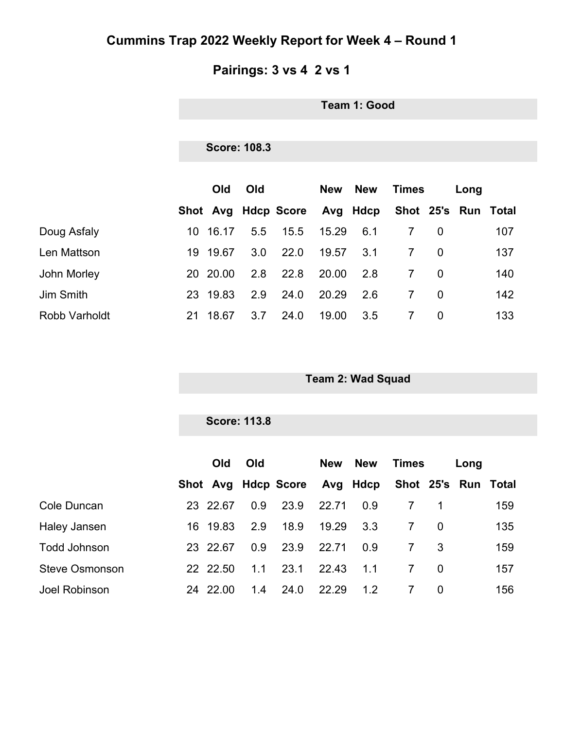#### **Pairings: 3 vs 4 2 vs 1**

**Team 1: Good**

#### **Score: 108.3**

|                      |     | <b>Old</b> | Old |                              | New   | <b>New</b> | Times               |          | Long |     |
|----------------------|-----|------------|-----|------------------------------|-------|------------|---------------------|----------|------|-----|
|                      |     |            |     | Shot Avg Hdcp Score Avg Hdcp |       |            | Shot 25's Run Total |          |      |     |
| Doug Asfaly          | 10. | 16.17      | 5.5 | 15.5                         | 15.29 | 6.1        |                     | $\Omega$ |      | 107 |
| Len Mattson          | 19  | 19.67      | 3.0 | 22.0                         | 19.57 | 3.1        | 7                   | $\Omega$ |      | 137 |
| John Morley          |     | 20 20.00   | 2.8 | 22.8                         | 20.00 | 2.8        |                     | $\Omega$ |      | 140 |
| Jim Smith            | 23  | 19.83      | 2.9 | 24.0                         | 20.29 | 2.6        | 7                   | $\Omega$ |      | 142 |
| <b>Robb Varholdt</b> | 21  | 18.67      | 3.7 | 24.0                         | 19.00 | 3.5        |                     | $\Omega$ |      | 133 |

**Team 2: Wad Squad**

#### **Score: 113.8**

|                       | Old      | Old              |                                                  | New   | <b>New</b> | Times        |          | Long |     |
|-----------------------|----------|------------------|--------------------------------------------------|-------|------------|--------------|----------|------|-----|
|                       |          |                  | Shot Avg Hdcp Score Avg Hdcp Shot 25's Run Total |       |            |              |          |      |     |
| Cole Duncan           | 23 22.67 | 0.9 <sup>°</sup> | 23.9                                             | 22.71 | 0.9        |              |          |      | 159 |
| Haley Jansen          | 16 19.83 | 2.9              | 18.9                                             | 19.29 | 3.3        | 7            |          |      | 135 |
| <b>Todd Johnson</b>   | 23 22.67 | 0.9              | 23.9                                             | 22.71 | 0.9        | $\mathbf{7}$ | 3        |      | 159 |
| <b>Steve Osmonson</b> | 22 22.50 | 1.1              | 23.1                                             | 22.43 | 1.1        | 7            | 0        |      | 157 |
| Joel Robinson         | 24 22.00 | 1.4              | 24.0                                             | 22.29 | 1.2        |              | $\Omega$ |      | 156 |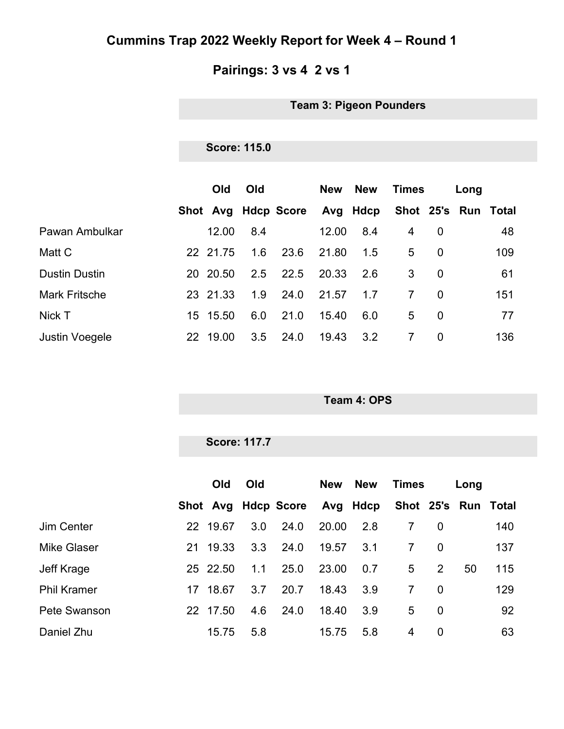#### **Pairings: 3 vs 4 2 vs 1**

**Team 3: Pigeon Pounders**

#### **Score: 115.0**

|                       |    | <b>Old</b> | Old |                              | <b>New</b> | <b>New</b> | <b>Times</b>   |          | Long |                     |
|-----------------------|----|------------|-----|------------------------------|------------|------------|----------------|----------|------|---------------------|
|                       |    |            |     | Shot Avg Hdcp Score Avg Hdcp |            |            |                |          |      | Shot 25's Run Total |
| Pawan Ambulkar        |    | 12.00      | 8.4 |                              | 12.00      | 8.4        | 4              | 0        |      | 48                  |
| Matt C                |    | 22 21.75   | 1.6 | 23.6                         | 21.80      | 1.5        | 5              | $\Omega$ |      | 109                 |
| <b>Dustin Dustin</b>  |    | 20 20.50   | 2.5 | 22.5                         | 20.33      | 2.6        | 3              | 0        |      | 61                  |
| <b>Mark Fritsche</b>  |    | 23 21.33   | 1.9 | 24.0                         | 21.57      | 1.7        | $\overline{7}$ | $\Omega$ |      | 151                 |
| Nick T                | 15 | 15.50      | 6.0 | 21.0                         | 15.40      | 6.0        | 5              | $\Omega$ |      | 77                  |
| <b>Justin Voegele</b> | 22 | 19.00      | 3.5 | 24.0                         | 19.43      | 3.2        | 7              | 0        |      | 136                 |

**Team 4: OPS**

|                    |          | <b>Score: 117.7</b> |                              |            |            |                |                |      |                     |
|--------------------|----------|---------------------|------------------------------|------------|------------|----------------|----------------|------|---------------------|
|                    | Old      | Old                 |                              | <b>New</b> | <b>New</b> | <b>Times</b>   |                | Long |                     |
|                    |          |                     | Shot Avg Hdcp Score Avg Hdcp |            |            |                |                |      | Shot 25's Run Total |
| Jim Center         | 22 19.67 | 3.0                 | 24.0                         | 20.00      | 2.8        | $7^{\circ}$    | $\overline{0}$ |      | 140                 |
| <b>Mike Glaser</b> | 21 19.33 | 3.3                 | 24.0                         | 19.57      | 3.1        | $7^{\circ}$    | $\overline{0}$ |      | 137                 |
| Jeff Krage         | 25 22.50 | 1.1                 | 25.0                         | 23.00      | 0.7        | 5              | 2              | 50   | 115                 |
| <b>Phil Kramer</b> | 17 18.67 | 3.7                 | 20.7                         | 18.43      | 3.9        | $\overline{7}$ | $\overline{0}$ |      | 129                 |
| Pete Swanson       | 22 17.50 | 4.6                 | 24.0                         | 18.40      | 3.9        | 5              | $\overline{0}$ |      | 92                  |
| Daniel Zhu         | 15.75    | 5.8                 |                              | 15.75      | 5.8        | 4              | 0              |      | 63                  |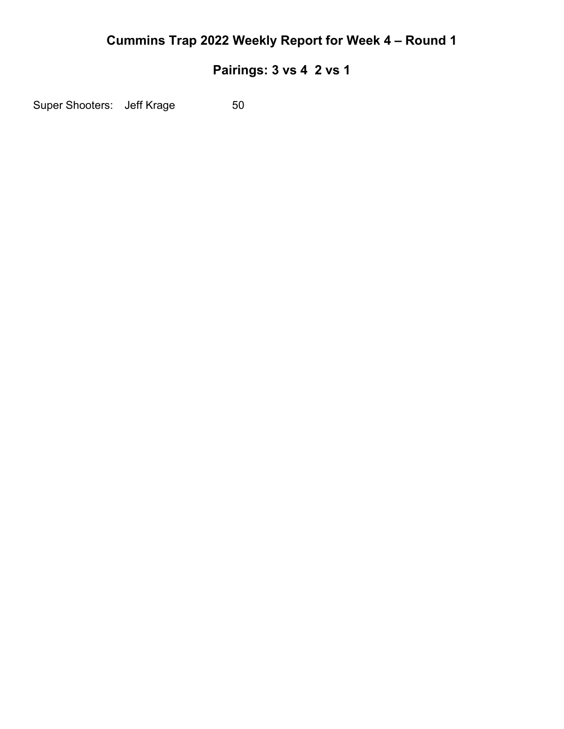### **Pairings: 3 vs 4 2 vs 1**

Super Shooters: Jeff Krage 50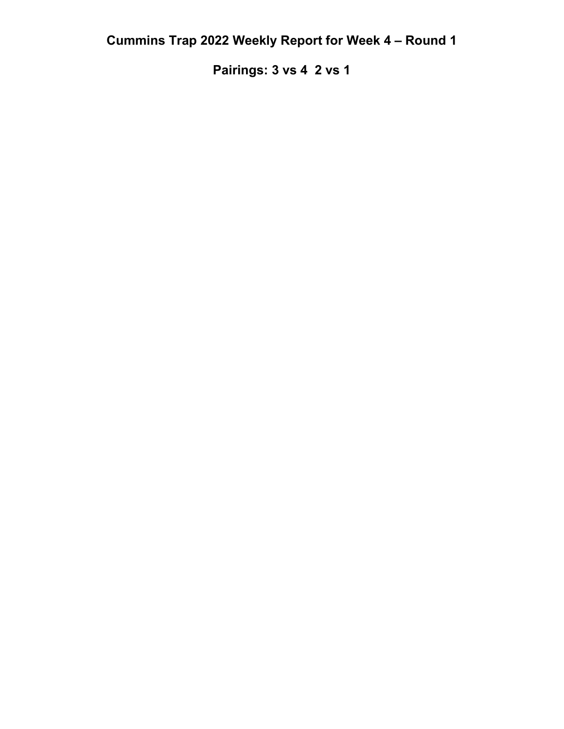**Pairings: 3 vs 4 2 vs 1**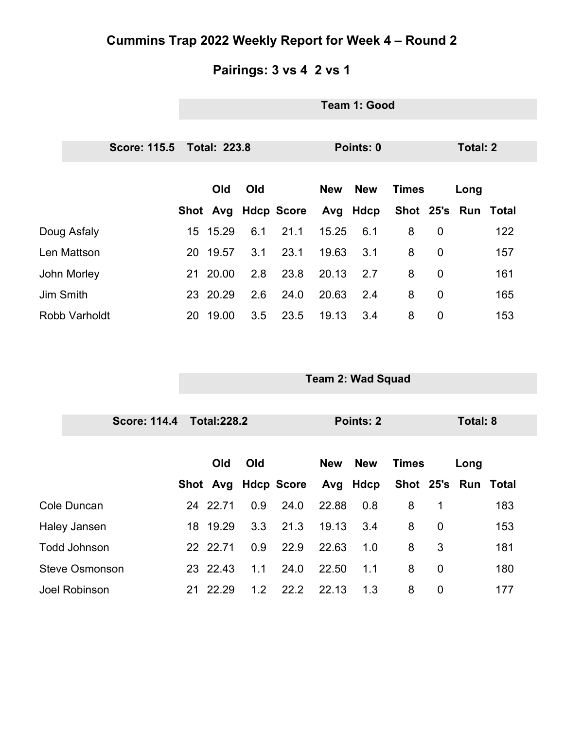#### **Pairings: 3 vs 4 2 vs 1**

|                       | Team 1: Good |                     |              |                     |            |                          |              |             |                 |                     |  |  |
|-----------------------|--------------|---------------------|--------------|---------------------|------------|--------------------------|--------------|-------------|-----------------|---------------------|--|--|
|                       |              |                     |              |                     |            |                          |              |             |                 |                     |  |  |
| <b>Score: 115.5</b>   |              | <b>Total: 223.8</b> |              |                     | Points: 0  |                          |              |             |                 | <b>Total: 2</b>     |  |  |
|                       |              |                     |              |                     |            |                          |              |             |                 |                     |  |  |
|                       |              | Old                 | Old          |                     | <b>New</b> | <b>New</b>               | <b>Times</b> |             | Long            |                     |  |  |
|                       |              | Shot Avg            |              | <b>Hdcp Score</b>   |            | Avg Hdcp                 |              |             |                 | Shot 25's Run Total |  |  |
| Doug Asfaly           |              | 15 15.29            | 6.1          | 21.1                | 15.25      | 6.1                      | 8            | $\mathbf 0$ |                 | 122                 |  |  |
| Len Mattson           |              | 20 19.57            | 3.1          | 23.1                | 19.63      | 3.1                      | 8            | $\mathbf 0$ |                 | 157                 |  |  |
| John Morley           | 21           | 20.00               | 2.8          | 23.8                | 20.13      | 2.7                      | 8            | $\mathbf 0$ |                 | 161                 |  |  |
| Jim Smith             |              | 23 20.29            | 2.6          | 24.0                | 20.63      | 2.4                      | 8            | $\mathbf 0$ |                 | 165                 |  |  |
| Robb Varholdt         |              | 20 19.00            | 3.5          | 23.5                | 19.13      | 3.4                      | 8            | $\mathbf 0$ |                 | 153                 |  |  |
|                       |              |                     |              |                     |            |                          |              |             |                 |                     |  |  |
|                       |              |                     |              |                     |            |                          |              |             |                 |                     |  |  |
|                       |              |                     |              |                     |            | <b>Team 2: Wad Squad</b> |              |             |                 |                     |  |  |
|                       |              |                     |              |                     |            |                          |              |             |                 |                     |  |  |
| <b>Score: 114.4</b>   |              | <b>Total:228.2</b>  |              | <b>Points: 2</b>    |            |                          |              |             | <b>Total: 8</b> |                     |  |  |
|                       |              |                     |              |                     |            |                          |              |             |                 |                     |  |  |
|                       |              | Old                 | Old          |                     | <b>New</b> | <b>New</b>               | <b>Times</b> |             | Long            |                     |  |  |
|                       |              |                     |              | Shot Avg Hdcp Score |            | Avg Hdcp                 |              |             |                 | Shot 25's Run Total |  |  |
| Cole Duncan           |              |                     | 24 22.71 0.9 | 24.0                |            | 22.88 0.8                |              | 8 1         |                 | 183                 |  |  |
| <b>Haley Jansen</b>   |              | 18 19.29            | 3.3          | 21.3                | 19.13      | 3.4                      | 8            | $\mathbf 0$ |                 | 153                 |  |  |
| <b>Todd Johnson</b>   |              | 22 22.71            | 0.9          | 22.9                | 22.63      | 1.0                      | 8            | 3           |                 | 181                 |  |  |
| <b>Steve Osmonson</b> |              | 23 22.43            | 1.1          | 24.0                | 22.50      | 1.1                      | 8            | $\mathbf 0$ |                 | 180                 |  |  |
| Joel Robinson         |              | 21 22.29            | $1.2$        | 22.2                | 22.13      | 1.3                      | 8            | $\pmb{0}$   |                 | 177                 |  |  |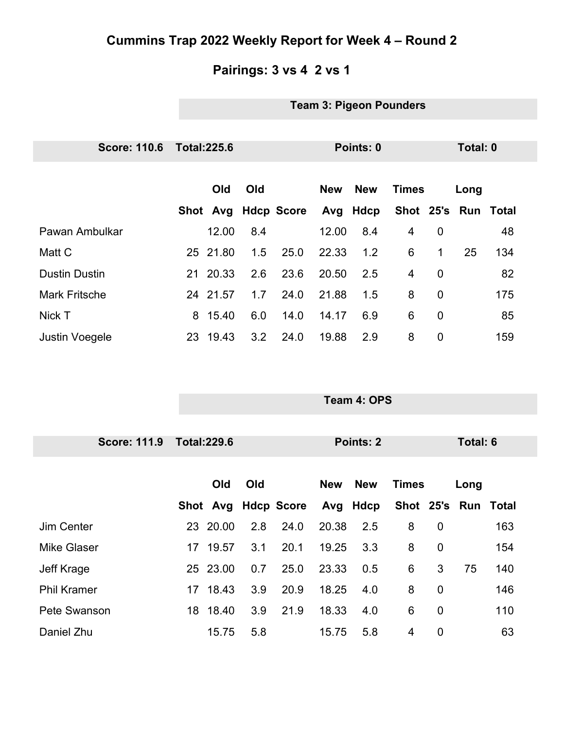# **Pairings: 3 vs 4 2 vs 1**

#### **Team 3: Pigeon Pounders**

| <b>Score: 110.6</b>   | <b>Total:225.6</b>  |     |     | Points: 0 |            |            |                     | Total: 0       |      |     |
|-----------------------|---------------------|-----|-----|-----------|------------|------------|---------------------|----------------|------|-----|
|                       |                     |     |     |           |            |            |                     |                |      |     |
|                       | Old                 | Old |     |           | <b>New</b> | <b>New</b> | <b>Times</b>        |                | Long |     |
|                       | Shot Avg Hdcp Score |     |     |           |            | Avg Hdcp   | Shot 25's Run Total |                |      |     |
| Pawan Ambulkar        | 12.00               |     | 8.4 |           | 12.00      | 8.4        | 4                   | $\overline{0}$ |      | 48  |
| Matt C                | 25 21.80            |     | 1.5 | 25.0      | 22.33      | 1.2        | 6                   | 1              | 25   | 134 |
| <b>Dustin Dustin</b>  | 21 20.33            |     | 2.6 | 23.6      | 20.50      | 2.5        | 4                   | $\overline{0}$ |      | 82  |
| <b>Mark Fritsche</b>  | 24 21.57            |     | 1.7 | 24.0      | 21.88      | 1.5        | 8                   | $\overline{0}$ |      | 175 |
| Nick T                | 15.40<br>8          |     | 6.0 | 14.0      | 14.17      | 6.9        | 6                   | $\overline{0}$ |      | 85  |
| <b>Justin Voegele</b> | 23 19.43            |     | 3.2 | 24.0      | 19.88      | 2.9        | 8                   | $\mathbf 0$    |      | 159 |

**Team 4: OPS**

| <b>Score: 111.9</b> | <b>Total:229.6</b> |                     | Points: 2                | Total: 6                         |                     |
|---------------------|--------------------|---------------------|--------------------------|----------------------------------|---------------------|
|                     | Old                | Old                 | <b>New</b><br><b>New</b> | <b>Times</b>                     | Long                |
|                     |                    | Shot Avg Hdcp Score | Avg Hdcp                 |                                  | Shot 25's Run Total |
| Jim Center          | 23 20.00           | 2.8<br>24.0         | 20.38<br>2.5             | 8<br>$\overline{0}$              | 163                 |
| <b>Mike Glaser</b>  | 17 19.57           | 20.1<br>3.1         | 19.25<br>3.3             | 8<br>$\overline{0}$              | 154                 |
| Jeff Krage          | 25 23.00           | 25.0<br>0.7         | 23.33<br>0.5             | 6<br>3                           | 75<br>140           |
| <b>Phil Kramer</b>  | 17 18.43           | 3.9<br>20.9         | 18.25<br>4.0             | 8<br>$\mathbf 0$                 | 146                 |
| Pete Swanson        | 18 18.40           | 3.9<br>21.9         | 18.33<br>4.0             | 6<br>$\overline{0}$              | 110                 |
| Daniel Zhu          | 15.75              | 5.8                 | 5.8<br>15.75             | $\overline{4}$<br>$\overline{0}$ | 63                  |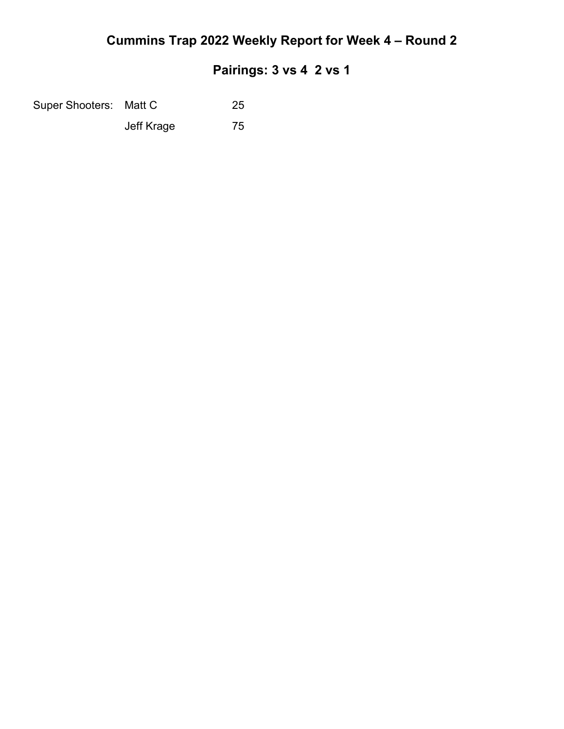#### **Pairings: 3 vs 4 2 vs 1**

Super Shooters: Matt C 25

Jeff Krage 75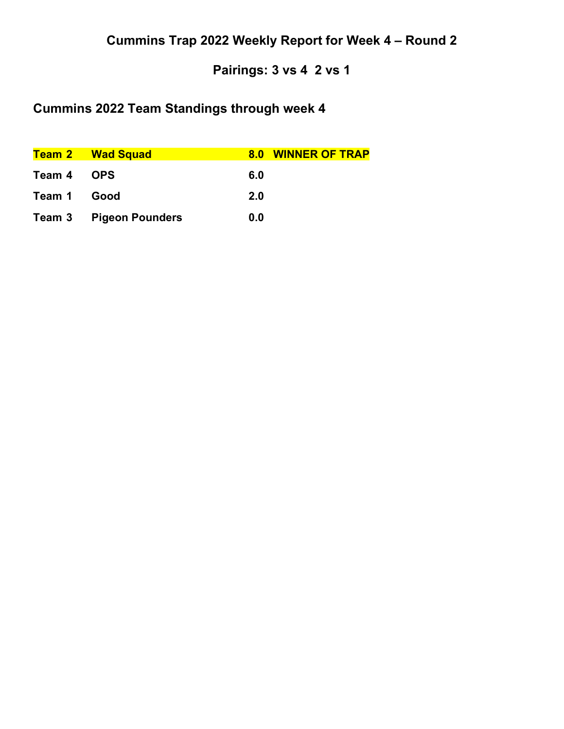### **Pairings: 3 vs 4 2 vs 1**

# **Cummins 2022 Team Standings through week 4**

|             | <b>Team 2 Wad Squad</b>       | 8.0 WINNER OF TRAP |  |
|-------------|-------------------------------|--------------------|--|
| Team 4 OPS  |                               | 6.0                |  |
| Team 1 Good |                               | <b>2.0</b>         |  |
|             | <b>Team 3 Pigeon Pounders</b> | 0.0                |  |